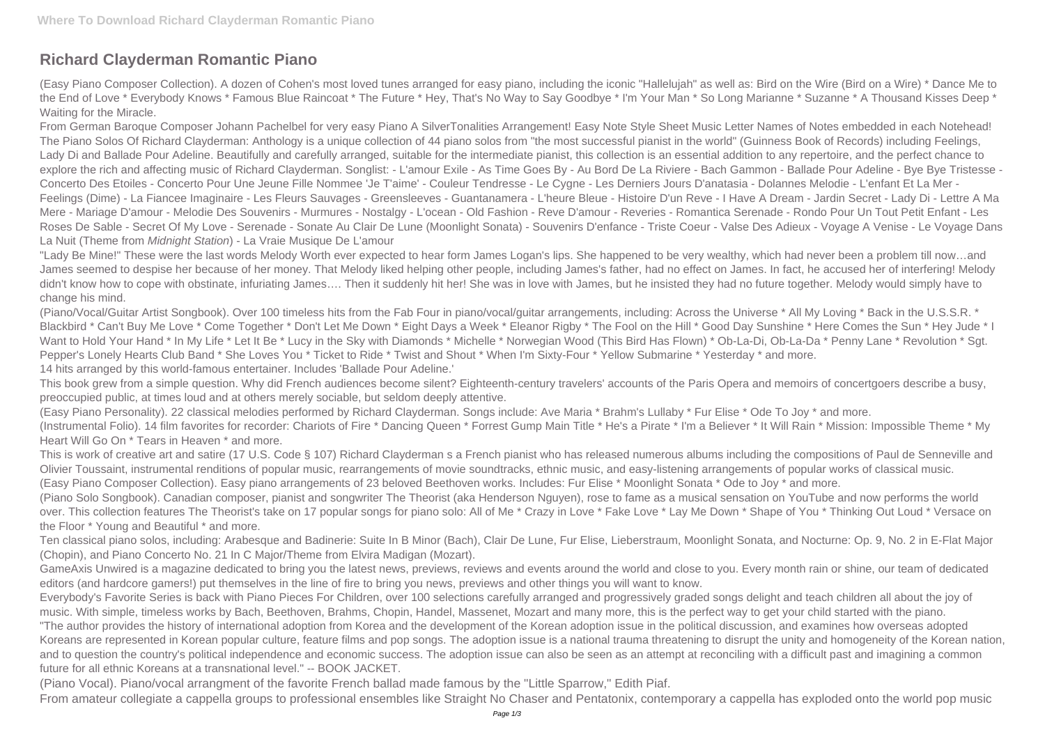## **Richard Clayderman Romantic Piano**

(Easy Piano Composer Collection). A dozen of Cohen's most loved tunes arranged for easy piano, including the iconic "Hallelujah" as well as: Bird on the Wire (Bird on a Wire) \* Dance Me to the End of Love \* Everybody Knows \* Famous Blue Raincoat \* The Future \* Hey, That's No Way to Say Goodbye \* I'm Your Man \* So Long Marianne \* Suzanne \* A Thousand Kisses Deep \* Waiting for the Miracle.

From German Baroque Composer Johann Pachelbel for very easy Piano A SilverTonalities Arrangement! Easy Note Style Sheet Music Letter Names of Notes embedded in each Notehead! The Piano Solos Of Richard Clayderman: Anthology is a unique collection of 44 piano solos from "the most successful pianist in the world" (Guinness Book of Records) including Feelings, Lady Di and Ballade Pour Adeline. Beautifully and carefully arranged, suitable for the intermediate pianist, this collection is an essential addition to any repertoire, and the perfect chance to explore the rich and affecting music of Richard Clayderman. Songlist: - L'amour Exile - As Time Goes By - Au Bord De La Riviere - Bach Gammon - Ballade Pour Adeline - Bye Bye Tristesse - Concerto Des Etoiles - Concerto Pour Une Jeune Fille Nommee 'Je T'aime' - Couleur Tendresse - Le Cygne - Les Derniers Jours D'anatasia - Dolannes Melodie - L'enfant Et La Mer - Feelings (Dime) - La Fiancee Imaginaire - Les Fleurs Sauvages - Greensleeves - Guantanamera - L'heure Bleue - Histoire D'un Reve - I Have A Dream - Jardin Secret - Lady Di - Lettre A Ma Mere - Mariage D'amour - Melodie Des Souvenirs - Murmures - Nostalgy - L'ocean - Old Fashion - Reve D'amour - Reveries - Romantica Serenade - Rondo Pour Un Tout Petit Enfant - Les Roses De Sable - Secret Of My Love - Serenade - Sonate Au Clair De Lune (Moonlight Sonata) - Souvenirs D'enfance - Triste Coeur - Valse Des Adieux - Voyage A Venise - Le Voyage Dans La Nuit (Theme from Midnight Station) - La Vraie Musique De L'amour

"Lady Be Mine!" These were the last words Melody Worth ever expected to hear form James Logan's lips. She happened to be very wealthy, which had never been a problem till now…and James seemed to despise her because of her money. That Melody liked helping other people, including James's father, had no effect on James. In fact, he accused her of interfering! Melody didn't know how to cope with obstinate, infuriating James…. Then it suddenly hit her! She was in love with James, but he insisted they had no future together. Melody would simply have to change his mind.

(Piano/Vocal/Guitar Artist Songbook). Over 100 timeless hits from the Fab Four in piano/vocal/guitar arrangements, including: Across the Universe \* All My Loving \* Back in the U.S.S.R. \* Blackbird \* Can't Buy Me Love \* Come Together \* Don't Let Me Down \* Eight Days a Week \* Eleanor Rigby \* The Fool on the Hill \* Good Day Sunshine \* Here Comes the Sun \* Hey Jude \* I Want to Hold Your Hand \* In My Life \* Let It Be \* Lucy in the Sky with Diamonds \* Michelle \* Norwegian Wood (This Bird Has Flown) \* Ob-La-Di, Ob-La-Da \* Penny Lane \* Revolution \* Sgt. Pepper's Lonely Hearts Club Band \* She Loves You \* Ticket to Ride \* Twist and Shout \* When I'm Sixty-Four \* Yellow Submarine \* Yesterday \* and more. 14 hits arranged by this world-famous entertainer. Includes 'Ballade Pour Adeline.'

This book grew from a simple question. Why did French audiences become silent? Eighteenth-century travelers' accounts of the Paris Opera and memoirs of concertgoers describe a busy, preoccupied public, at times loud and at others merely sociable, but seldom deeply attentive.

(Easy Piano Personality). 22 classical melodies performed by Richard Clayderman. Songs include: Ave Maria \* Brahm's Lullaby \* Fur Elise \* Ode To Joy \* and more. (Instrumental Folio). 14 film favorites for recorder: Chariots of Fire \* Dancing Queen \* Forrest Gump Main Title \* He's a Pirate \* I'm a Believer \* It Will Rain \* Mission: Impossible Theme \* My Heart Will Go On \* Tears in Heaven \* and more.

This is work of creative art and satire (17 U.S. Code § 107) Richard Clayderman s a French pianist who has released numerous albums including the compositions of Paul de Senneville and Olivier Toussaint, instrumental renditions of popular music, rearrangements of movie soundtracks, ethnic music, and easy-listening arrangements of popular works of classical music. (Easy Piano Composer Collection). Easy piano arrangements of 23 beloved Beethoven works. Includes: Fur Elise \* Moonlight Sonata \* Ode to Joy \* and more. (Piano Solo Songbook). Canadian composer, pianist and songwriter The Theorist (aka Henderson Nguyen), rose to fame as a musical sensation on YouTube and now performs the world over. This collection features The Theorist's take on 17 popular songs for piano solo: All of Me \* Crazy in Love \* Fake Love \* Lay Me Down \* Shape of You \* Thinking Out Loud \* Versace on the Floor \* Young and Beautiful \* and more.

Ten classical piano solos, including: Arabesque and Badinerie: Suite In B Minor (Bach), Clair De Lune, Fur Elise, Lieberstraum, Moonlight Sonata, and Nocturne: Op. 9, No. 2 in E-Flat Major (Chopin), and Piano Concerto No. 21 In C Major/Theme from Elvira Madigan (Mozart).

GameAxis Unwired is a magazine dedicated to bring you the latest news, previews, reviews and events around the world and close to you. Every month rain or shine, our team of dedicated editors (and hardcore gamers!) put themselves in the line of fire to bring you news, previews and other things you will want to know.

Everybody's Favorite Series is back with Piano Pieces For Children, over 100 selections carefully arranged and progressively graded songs delight and teach children all about the joy of music. With simple, timeless works by Bach, Beethoven, Brahms, Chopin, Handel, Massenet, Mozart and many more, this is the perfect way to get your child started with the piano. "The author provides the history of international adoption from Korea and the development of the Korean adoption issue in the political discussion, and examines how overseas adopted Koreans are represented in Korean popular culture, feature films and pop songs. The adoption issue is a national trauma threatening to disrupt the unity and homogeneity of the Korean nation, and to question the country's political independence and economic success. The adoption issue can also be seen as an attempt at reconciling with a difficult past and imagining a common future for all ethnic Koreans at a transnational level." -- BOOK JACKET.

(Piano Vocal). Piano/vocal arrangment of the favorite French ballad made famous by the "Little Sparrow," Edith Piaf.

From amateur collegiate a cappella groups to professional ensembles like Straight No Chaser and Pentatonix, contemporary a cappella has exploded onto the world pop music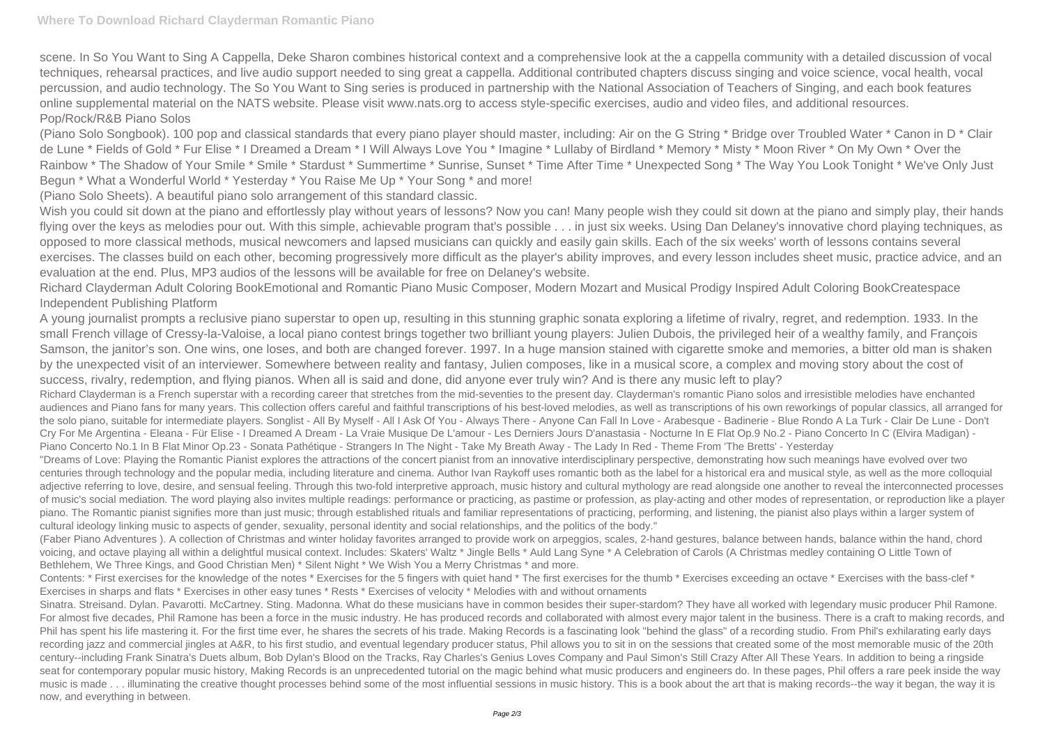scene. In So You Want to Sing A Cappella, Deke Sharon combines historical context and a comprehensive look at the a cappella community with a detailed discussion of vocal techniques, rehearsal practices, and live audio support needed to sing great a cappella. Additional contributed chapters discuss singing and voice science, vocal health, vocal percussion, and audio technology. The So You Want to Sing series is produced in partnership with the National Association of Teachers of Singing, and each book features online supplemental material on the NATS website. Please visit www.nats.org to access style-specific exercises, audio and video files, and additional resources. Pop/Rock/R&B Piano Solos

(Piano Solo Songbook). 100 pop and classical standards that every piano player should master, including: Air on the G String \* Bridge over Troubled Water \* Canon in D \* Clair de Lune \* Fields of Gold \* Fur Elise \* I Dreamed a Dream \* I Will Always Love You \* Imagine \* Lullaby of Birdland \* Memory \* Misty \* Moon River \* On My Own \* Over the Rainbow \* The Shadow of Your Smile \* Smile \* Stardust \* Summertime \* Sunrise, Sunset \* Time After Time \* Unexpected Song \* The Way You Look Tonight \* We've Only Just Begun \* What a Wonderful World \* Yesterday \* You Raise Me Up \* Your Song \* and more!

Wish you could sit down at the piano and effortlessly play without years of lessons? Now you can! Many people wish they could sit down at the piano and simply play, their hands flying over the keys as melodies pour out. With this simple, achievable program that's possible . . . in just six weeks. Using Dan Delaney's innovative chord playing techniques, as opposed to more classical methods, musical newcomers and lapsed musicians can quickly and easily gain skills. Each of the six weeks' worth of lessons contains several exercises. The classes build on each other, becoming progressively more difficult as the player's ability improves, and every lesson includes sheet music, practice advice, and an evaluation at the end. Plus, MP3 audios of the lessons will be available for free on Delaney's website.

(Piano Solo Sheets). A beautiful piano solo arrangement of this standard classic.

Richard Clayderman Adult Coloring BookEmotional and Romantic Piano Music Composer, Modern Mozart and Musical Prodigy Inspired Adult Coloring BookCreatespace Independent Publishing Platform

Contents: \* First exercises for the knowledge of the notes \* Exercises for the 5 fingers with quiet hand \* The first exercises for the thumb \* Exercises exceeding an octave \* Exercises with the bass-clef \* Exercises in sharps and flats \* Exercises in other easy tunes \* Rests \* Exercises of velocity \* Melodies with and without ornaments

A young journalist prompts a reclusive piano superstar to open up, resulting in this stunning graphic sonata exploring a lifetime of rivalry, regret, and redemption. 1933. In the small French village of Cressy-la-Valoise, a local piano contest brings together two brilliant young players: Julien Dubois, the privileged heir of a wealthy family, and François Samson, the janitor's son. One wins, one loses, and both are changed forever. 1997. In a huge mansion stained with cigarette smoke and memories, a bitter old man is shaken by the unexpected visit of an interviewer. Somewhere between reality and fantasy, Julien composes, like in a musical score, a complex and moving story about the cost of success, rivalry, redemption, and flying pianos. When all is said and done, did anyone ever truly win? And is there any music left to play? Richard Clayderman is a French superstar with a recording career that stretches from the mid-seventies to the present day. Clayderman's romantic Piano solos and irresistible melodies have enchanted audiences and Piano fans for many years. This collection offers careful and faithful transcriptions of his best-loved melodies, as well as transcriptions of his own reworkings of popular classics, all arranged for the solo piano, suitable for intermediate players. Songlist - All By Myself - All I Ask Of You - Always There - Anyone Can Fall In Love - Arabesque - Badinerie - Blue Rondo A La Turk - Clair De Lune - Don't Cry For Me Argentina - Eleana - Für Elise - I Dreamed A Dream - La Vraie Musique De L'amour - Les Derniers Jours D'anastasia - Nocturne In E Flat Op.9 No.2 - Piano Concerto In C (Elvira Madigan) - Piano Concerto No.1 In B Flat Minor Op.23 - Sonata Pathétique - Strangers In The Night - Take My Breath Away - The Lady In Red - Theme From 'The Bretts' - Yesterday "Dreams of Love: Playing the Romantic Pianist explores the attractions of the concert pianist from an innovative interdisciplinary perspective, demonstrating how such meanings have evolved over two centuries through technology and the popular media, including literature and cinema. Author Ivan Raykoff uses romantic both as the label for a historical era and musical style, as well as the more colloquial adjective referring to love, desire, and sensual feeling. Through this two-fold interpretive approach, music history and cultural mythology are read alongside one another to reveal the interconnected processes of music's social mediation. The word playing also invites multiple readings: performance or practicing, as pastime or profession, as play-acting and other modes of representation, or reproduction like a player piano. The Romantic pianist signifies more than just music; through established rituals and familiar representations of practicing, performing, and listening, the pianist also plays within a larger system of cultural ideology linking music to aspects of gender, sexuality, personal identity and social relationships, and the politics of the body."

(Faber Piano Adventures ). A collection of Christmas and winter holiday favorites arranged to provide work on arpeggios, scales, 2-hand gestures, balance between hands, balance within the hand, chord voicing, and octave playing all within a delightful musical context. Includes: Skaters' Waltz \* Jingle Bells \* Auld Lang Syne \* A Celebration of Carols (A Christmas medley containing O Little Town of Bethlehem, We Three Kings, and Good Christian Men) \* Silent Night \* We Wish You a Merry Christmas \* and more.

Sinatra. Streisand. Dylan. Pavarotti. McCartney. Sting. Madonna. What do these musicians have in common besides their super-stardom? They have all worked with legendary music producer Phil Ramone. For almost five decades, Phil Ramone has been a force in the music industry. He has produced records and collaborated with almost every major talent in the business. There is a craft to making records, and Phil has spent his life mastering it. For the first time ever, he shares the secrets of his trade. Making Records is a fascinating look "behind the glass" of a recording studio. From Phil's exhilarating early days recording jazz and commercial jingles at A&R, to his first studio, and eventual legendary producer status, Phil allows you to sit in on the sessions that created some of the most memorable music of the 20th century--including Frank Sinatra's Duets album, Bob Dylan's Blood on the Tracks, Ray Charles's Genius Loves Company and Paul Simon's Still Crazy After All These Years. In addition to being a ringside seat for contemporary popular music history, Making Records is an unprecedented tutorial on the magic behind what music producers and engineers do. In these pages, Phil offers a rare peek inside the way music is made . . . illuminating the creative thought processes behind some of the most influential sessions in music history. This is a book about the art that is making records--the way it began, the way it is now, and everything in between.